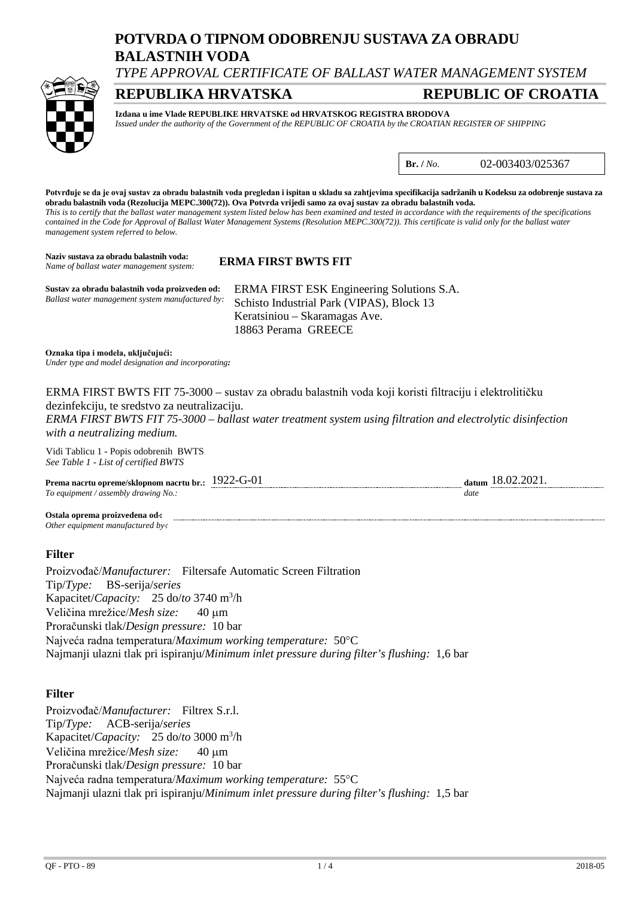# **POTVRDA O TIPNOM ODOBRENJU SUSTAVA ZA OBRADU BALASTNIH VODA**

*TYPE APPROVAL CERTIFICATE OF BALLAST WATER MANAGEMENT SYSTEM*

## **REPUBLIKA HRVATSKA REPUBLIC OF CROATIA**



**Izdana u ime Vlade REPUBLIKE HRVATSKE od HRVATSKOG REGISTRA BRODOVA** *Issued under the authority of the Government of the REPUBLIC OF CROATIA by the CROATIAN REGISTER OF SHIPPING*

**Br. /** *No.* 02-003403/025367

**Potvrđuje se da je ovaj sustav za obradu balastnih voda pregledan i ispitan u skladu sa zahtjevima specifikacija sadržanih u Kodeksu za odobrenje sustava za obradu balastnih voda (Rezolucija MEPC.300(72)). Ova Potvrda vrijedi samo za ovaj sustav za obradu balastnih voda.** *This is to certify that the ballast water management system listed below has been examined and tested in accordance with the requirements of the specifications contained in the Code for Approval of Ballast Water Management Systems (Resolution MEPC.300(72)). This certificate is valid only for the ballast water management system referred to below.*

**Naziv sustava za obradu balastnih voda: ERMA FIRST BWTS FIT** *Name of ballast water management system:*

**Sustav za obradu balastnih voda proizveden od:** ERMA FIRST ESK Engineering Solutions S.A. Schisto Industrial Park (VIPAS), Block 13 Keratsiniou – Skaramagas Ave. 18863 Perama GREECE *Ballast water management system manufactured by:*

**Oznaka tipa i modela, uključujući:** *Under type and model designation and incorporating:*

ERMA FIRST BWTS FIT 75-3000 – sustav za obradu balastnih voda koji koristi filtraciju i elektrolitičku dezinfekciju, te sredstvo za neutralizaciju.

*ERMA FIRST BWTS FIT 75-3000 – ballast water treatment system using filtration and electrolytic disinfection with a neutralizing medium.*

Vidi Tablicu 1 - Popis odobrenih BWTS *See Table 1 - List of certified BWTS*

| Prema nacrtu opreme/sklopnom nacrtu br.:  | 19/ | -----     | . . |
|-------------------------------------------|-----|-----------|-----|
| assembly drawing No.:<br>$To$ equipment / |     | date<br>. |     |

**Ostala oprema proizvedena od-:** *Other equipment manufactured by-:*

### **Filter**

Proizvođač/*Manufacturer:* Filtersafe Automatic Screen Filtration Tip/*Type:* BS-serija/*series* Kapacitet/*Capacity:* 25 do/*to* 3740 m3 /h Veličina mrežice/*Mesh size:* 40 µm Proračunski tlak/*Design pressure:* 10 bar Najveća radna temperatura/*Maximum working temperature:* 50°C Najmanji ulazni tlak pri ispiranju/*Minimum inlet pressure during filter's flushing:* 1,6 bar

### **Filter**

Proizvođač/*Manufacturer:* Filtrex S.r.l. Tip/*Type:* ACB-serija/*series* Kapacitet/*Capacity:* 25 do/*to* 3000 m3 /h Veličina mrežice/*Mesh size:* 40 µm Proračunski tlak/*Design pressure:* 10 bar Najveća radna temperatura/*Maximum working temperature:* 55°C Najmanji ulazni tlak pri ispiranju/*Minimum inlet pressure during filter's flushing:* 1,5 bar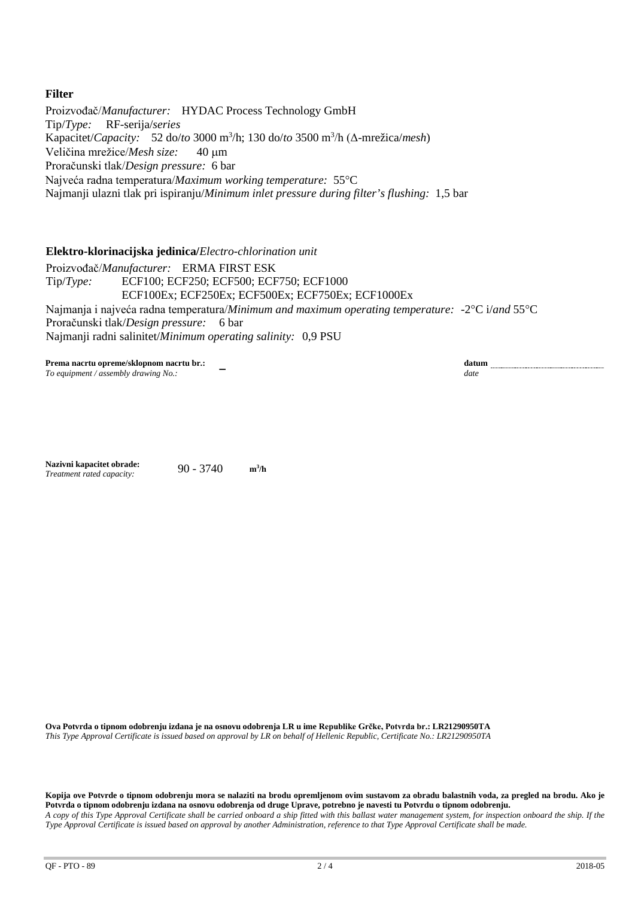### **Filter**

Proizvođač/*Manufacturer:* HYDAC Process Technology GmbH Tip/*Type:* RF-serija/*series* Kapacitet/*Capacity:* 52 do/*to* 3000 m3 /h; 130 do/*to* 3500 m3 /h (Δ-mrežica/*mesh*) Veličina mrežice/*Mesh size:* 40 µm Proračunski tlak/*Design pressure:* 6 bar Najveća radna temperatura/*Maximum working temperature:* 55°C Najmanji ulazni tlak pri ispiranju/*Minimum inlet pressure during filter's flushing:* 1,5 bar

**Elektro-klorinacijska jedinica/***Electro-chlorination unit*

Proizvođač/*Manufacturer:* ERMA FIRST ESK Tip/*Type:* ECF100; ECF250; ECF500; ECF750; ECF1000 ECF100Ex; ECF250Ex; ECF500Ex; ECF750Ex; ECF1000Ex Najmanja i najveća radna temperatura/*Minimum and maximum operating temperature:* -2°C i/*and* 55°C Proračunski tlak/*Design pressure:* 6 bar Najmanji radni salinitet/*Minimum operating salinity:* 0,9 PSU

**Prema nacrtu opreme/sklopnom nacrtu br.:** − **datum**<br> *To equipment / assembly drawing No.:* − **−** *date date date To equipment / assembly drawing No.:* 

**Nazivni kapacitet obrade:** 90 - 3740 **m3 /h** *Treatment rated capacity:*

**Ova Potvrda o tipnom odobrenju izdana je na osnovu odobrenja LR u ime Republike Grčke, Potvrda br.: LR21290950TA** *This Type Approval Certificate is issued based on approval by LR on behalf of Hellenic Republic, Certificate No.: LR21290950TA*

**Kopija ove Potvrde o tipnom odobrenju mora se nalaziti na brodu opremljenom ovim sustavom za obradu balastnih voda, za pregled na brodu. Ako je Potvrda o tipnom odobrenju izdana na osnovu odobrenja od druge Uprave, potrebno je navesti tu Potvrdu o tipnom odobrenju.** *A copy of this Type Approval Certificate shall be carried onboard a ship fitted with this ballast water management system, for inspection onboard the ship. If the Type Approval Certificate is issued based on approval by another Administration, reference to that Type Approval Certificate shall be made.*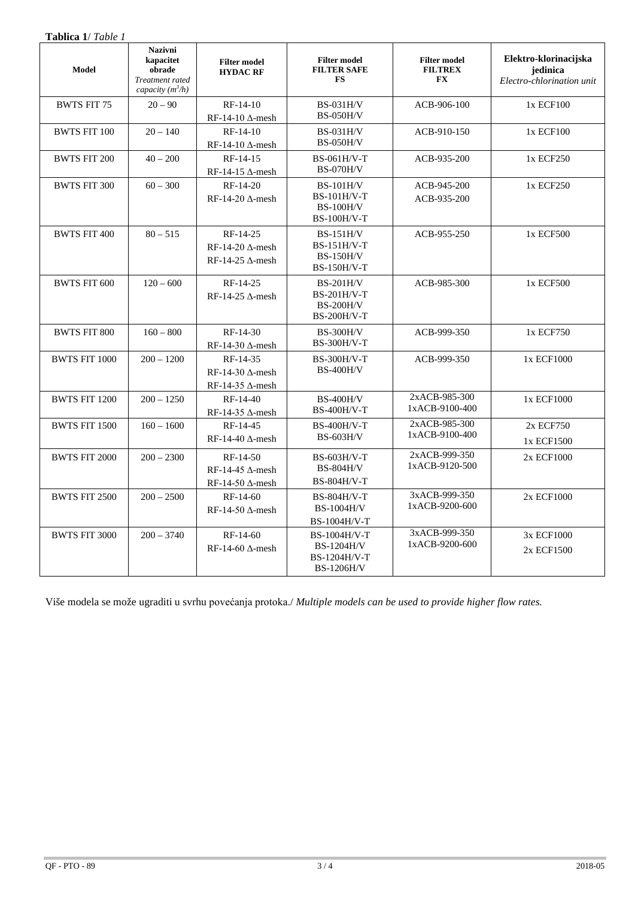| <b>Tablica 1/ Table 1</b> |                                                                                |                                                                  |                                                                             |                                                    |                                                                |
|---------------------------|--------------------------------------------------------------------------------|------------------------------------------------------------------|-----------------------------------------------------------------------------|----------------------------------------------------|----------------------------------------------------------------|
| <b>Model</b>              | <b>Nazivni</b><br>kapacitet<br>obrade<br>Treatment rated<br>capacity $(m^3/h)$ | <b>Filter model</b><br><b>HYDAC RF</b>                           | <b>Filter model</b><br><b>FILTER SAFE</b><br><b>FS</b>                      | <b>Filter model</b><br><b>FILTREX</b><br><b>FX</b> | Elektro-klorinacijska<br>jedinica<br>Electro-chlorination unit |
| <b>BWTS FIT 75</b>        | $20 - 90$                                                                      | $RF-14-10$<br>RF-14-10 $\Delta$ -mesh                            | <b>BS-031H/V</b><br><b>BS-050H/V</b>                                        | ACB-906-100                                        | 1x ECF100                                                      |
| <b>BWTS FIT 100</b>       | $20 - 140$                                                                     | RF-14-10<br>$RF-14-10 \Delta$ -mesh                              | <b>BS-031H/V</b><br><b>BS-050H/V</b>                                        | ACB-910-150                                        | 1x ECF100                                                      |
| <b>BWTS FIT 200</b>       | $40 - 200$                                                                     | RF-14-15<br>RF-14-15 $\Delta$ -mesh                              | BS-061H/V-T<br><b>BS-070H/V</b>                                             | ACB-935-200                                        | 1x ECF250                                                      |
| <b>BWTS FIT 300</b>       | $60 - 300$                                                                     | RF-14-20<br>RF-14-20 $\Delta$ -mesh                              | $BS-101H/V$<br><b>BS-101H/V-T</b><br><b>BS-100H/V</b><br><b>BS-100H/V-T</b> | ACB-945-200<br>ACB-935-200                         | 1x ECF250                                                      |
| <b>BWTS FIT 400</b>       | $80 - 515$                                                                     | RF-14-25<br>$RF-14-20$ $\Delta$ -mesh<br>RF-14-25 $\Delta$ -mesh | <b>BS-151H/V</b><br>$BS-151H/V-T$<br><b>BS-150H/V</b><br>$BS-150H/V-T$      | ACB-955-250                                        | 1x ECF500                                                      |
| <b>BWTS FIT 600</b>       | $120 - 600$                                                                    | RF-14-25<br>$RF-14-25 \Delta$ -mesh                              | $BS-201H/V$<br>BS-201H/V-T<br><b>BS-200H/V</b><br><b>BS-200H/V-T</b>        | ACB-985-300                                        | 1x ECF500                                                      |
| <b>BWTS FIT 800</b>       | $160 - 800$                                                                    | RF-14-30<br>RF-14-30 $\Delta$ -mesh                              | <b>BS-300H/V</b><br>BS-300H/V-T                                             | ACB-999-350                                        | 1x ECF750                                                      |
| <b>BWTS FIT 1000</b>      | $200 - 1200$                                                                   | RF-14-35<br>$RF-14-30 \Delta$ -mesh<br>RF-14-35 $\Delta$ -mesh   | <b>BS-300H/V-T</b><br><b>BS-400H/V</b>                                      | ACB-999-350                                        | 1x ECF1000                                                     |
| <b>BWTS FIT 1200</b>      | $200 - 1250$                                                                   | RF-14-40<br>RF-14-35 $\Delta$ -mesh                              | <b>BS-400H/V</b><br><b>BS-400H/V-T</b>                                      | 2xACB-985-300<br>1xACB-9100-400                    | 1x ECF1000                                                     |
| <b>BWTS FIT 1500</b>      | $160 - 1600$                                                                   | RF-14-45<br>RF-14-40 $\Delta$ -mesh                              | <b>BS-400H/V-T</b><br><b>BS-603H/V</b>                                      | 2xACB-985-300<br>1xACB-9100-400                    | 2x ECF750<br>1x ECF1500                                        |
| <b>BWTS FIT 2000</b>      | $200 - 2300$                                                                   | RF-14-50<br>$RF-14-45$ $\Delta$ -mesh<br>RF-14-50 $\Delta$ -mesh | $BS-603H/V-T$<br><b>BS-804H/V</b><br>BS-804H/V-T                            | 2xACB-999-350<br>1xACB-9120-500                    | 2x ECF1000                                                     |
| <b>BWTS FIT 2500</b>      | $200 - 2500$                                                                   | RF-14-60<br>$RF-14-50 \Delta$ -mesh                              | BS-804H/V-T<br><b>BS-1004H/V</b><br>BS-1004H/V-T                            | 3xACB-999-350<br>1xACB-9200-600                    | 2x ECF1000                                                     |
| <b>BWTS FIT 3000</b>      | $200 - 3740$                                                                   | $RF-14-60$<br>$RF-14-60 \Delta$ -mesh                            | BS-1004H/V-T<br><b>BS-1204H/V</b><br>BS-1204H/V-T<br><b>BS-1206H/V</b>      | 3xACB-999-350<br>1xACB-9200-600                    | 3x ECF1000<br>2x ECF1500                                       |

Više modela se može ugraditi u svrhu povećanja protoka./ *Multiple models can be used to provide higher flow rates.*